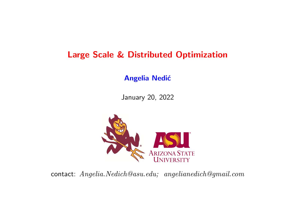# Large Scale & Distributed Optimization

#### **Angelia Nedić**

January 20, 2022



contact: Angelia.Nedich@asu.edu; angelianedich@gmail.com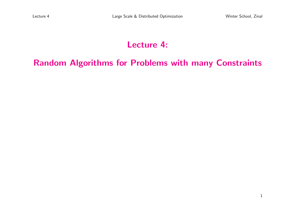1

# Lecture 4:

## Random Algorithms for Problems with many Constraints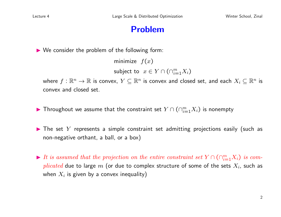## Problem

 $\triangleright$  We consider the problem of the following form:

minimize  $f(x)$ subject to  $x \in Y \cap (\cap_{i=1}^m X_i)$ 

where  $f:\mathbb{R}^n\to\mathbb{R}$  is convex,  $Y\subseteq\mathbb{R}^n$  is convex and closed set, and each  $X_i\subseteq\mathbb{R}^n$  is convex and closed set.

- ▶ Throughout we assume that the constraint set  $Y \cap (\cap_{i=1}^m X_i)$  is nonempty
- $\blacktriangleright$  The set Y represents a simple constraint set admitting projections easily (such as non-negative orthant, a ball, or a box)
- It is assumed that the projection on the entire constraint set  $Y \cap (\bigcap_{i=1}^{m} X_i)$  is complicated due to large m (or due to complex structure of some of the sets  $X_i$ , such as when  $X_i$  is given by a convex inequality)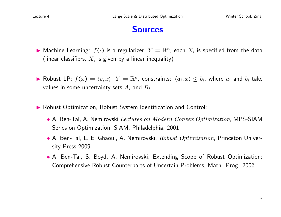#### **Sources**

- $\blacktriangleright$  Machine Learning:  $f(\cdot)$  is a regularizer,  $Y=\mathbb{R}^n$ , each  $X_i$  is specified from the data (linear classifiers,  $X_i$  is given by a linear inequality)
- ▶ Robust LP:  $f(x) = \langle c, x \rangle$ ,  $Y = \mathbb{R}^n$ , constraints:  $\langle a_i, x \rangle \leq b_i$ , where  $a_i$  and  $b_i$  take values in some uncertainty sets  $A_i$  and  $B_i$ .
- **In Robust Optimization, Robust System Identification and Control:** 
	- A. Ben-Tal, A. Nemirovski Lectures on Modern Convex Optimization, MPS-SIAM Series on Optimization, SIAM, Philadelphia, 2001
	- A. Ben-Tal, L. El Ghaoui, A. Nemirovski,  $Robust\ Optimization$ , Princeton University Press 2009
	- A. Ben-Tal, S. Boyd, A. Nemirovski, Extending Scope of Robust Optimization: Comprehensive Robust Counterparts of Uncertain Problems, Math. Prog. 2006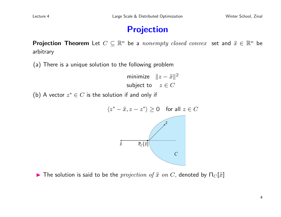## Projection

**Projection Theorem** Let  $C \subseteq \mathbb{R}^n$  be a *nonempty closed convex* set and  $\hat{x} \in \mathbb{R}^n$  be arbitrary

(a) There is a unique solution to the following problem

minimize  $||z - \hat{x}||^2$ subject to  $z \in C$ 

(b) A vector  $z^* \in C$  is the solution if and only if



**IF The solution is said to be the** projection of  $\hat{x}$  on C, denoted by  $\Pi_C[\hat{x}]$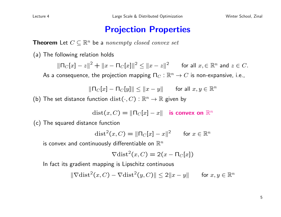### Projection Properties

**Theorem** Let  $C \subseteq \mathbb{R}^n$  be a nonempty closed convex set

(a) The following relation holds

 $\|\Pi_C[x] - z\|^2 + \|x - \Pi_C[x]\|^2 \le \|x - z\|^2$  for all  $x, \in \mathbb{R}^n$  and  $z \in C$ . As a consequence, the projection mapping  $\Pi_C : \mathbb{R}^n \to C$  is non-expansive, i.e.,

$$
\|\Pi_C[x] - \Pi_C[y]\| \le \|x - y\| \quad \text{for all } x, y \in \mathbb{R}^n
$$

(b) The set distance function  $dist(\cdot, C) : \mathbb{R}^n \to \mathbb{R}$  given by

 $dist(x, C) = ||\nabla_C[x] - x||$  is convex on  $\mathbb{R}^n$ 

(c) The squared distance function

$$
\text{dist}^2(x, C) = \|\Pi_C[x] - x\|^2 \qquad \text{for } x \in \mathbb{R}^n
$$

is convex and continuously differentiable on  $\mathbb{R}^n$ 

$$
\nabla \text{dist}^2(x, C) = 2(x - \Pi_C[x])
$$

In fact its gradient mapping is Lipschitz continuous

$$
\|\nabla \text{dist}^2(x, C) - \nabla \text{dist}^2(y, C)\| \le 2\|x - y\| \quad \text{for } x, y \in \mathbb{R}^n
$$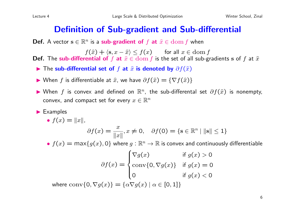## Definition of Sub-gradient and Sub-differential

**Def.** A vector  $\mathbf{s} \in \mathbb{R}^n$  is a **sub-gradient of** f at  $\hat{x} \in \text{dom } f$  when

 $f(\hat{x}) + \langle \mathbf{s}, x - \hat{x} \rangle \le f(x)$  for all  $x \in \text{dom } f$ **Def.** The sub-differential of f at  $\hat{x} \in \text{dom } f$  is the set of all sub-gradients s of f at  $\hat{x}$ 

- **►** The sub-differential set of f at  $\hat{x}$  is denoted by  $\partial f(\hat{x})$
- ▶ When f is differentiable at  $\hat{x}$ , we have  $\partial f(\hat{x}) = \{ \nabla f(\hat{x}) \}$
- ▶ When f is convex and defined on  $\mathbb{R}^n$ , the sub-differental set  $\partial f(\hat{x})$  is nonempty, convex, and compact set for every  $x \in \mathbb{R}^n$
- $\blacktriangleright$  Examples

• 
$$
f(x) = ||x||
$$
,  
\n
$$
\partial f(x) = \frac{x}{||x||}, x \neq 0, \quad \partial f(0) = \{s \in \mathbb{R}^n \mid ||s|| \le 1\}
$$
\n•  $f(x) = \max\{g(x), 0\}$  where  $g : \mathbb{R}^n \to \mathbb{R}$  is convex and continuously differentiable  
\n
$$
\partial f(x) = \begin{cases} \nabla g(x) & \text{if } g(x) > 0 \\ \text{conv}\{0, \nabla g(x)\} & \text{if } g(x) = 0 \\ 0 & \text{if } g(x) < 0 \end{cases}
$$

where conv{0,  $\nabla g(x)$ } = { $\alpha \nabla g(x)$  |  $\alpha \in$  [0, 1]}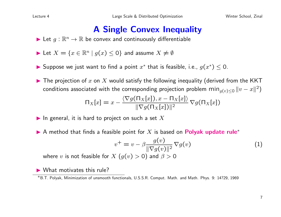## A Single Convex Inequality

- $\blacktriangleright$  Let  $g : \mathbb{R}^n \to \mathbb{R}$  be convex and continuously differentiable
- Let  $X = \{x \in \mathbb{R}^n \mid g(x) \le 0\}$  and assume  $X \ne \emptyset$
- ▶ Suppose we just want to find a point  $x^*$  that is feasible, i.e.,  $g(x^*) \leq 0$ .
- $\blacktriangleright$  The projection of x on X would satisfy the following inequality (derived from the KKT conditions associated with the corresponding projection problem  $\min_{g(v)\leq 0}\|v-x\|^2)$

$$
\Pi_X[x] = x - \frac{\langle \nabla g(\Pi_X[x]), x - \Pi_X[x] \rangle}{\|\nabla g(\Pi_X[x])\|^2} \nabla g(\Pi_X[x])
$$

- In general, it is hard to project on such a set X
- A method that finds a feasible point for X is based on **Polyak update rule**<sup>\*</sup>

$$
v^{+} = v - \beta \frac{g(v)}{\|\nabla g(v)\|^2} \nabla g(v) \tag{1}
$$

where v is not feasible for  $X(g(v) > 0)$  and  $\beta > 0$ 

 $\blacktriangleright$  What motivates this rule?

<sup>∗</sup>B.T. Polyak, Minimization of unsmooth functionals, U.S.S.R. Comput. Math. and Math. Phys. 9: 14?29, 1969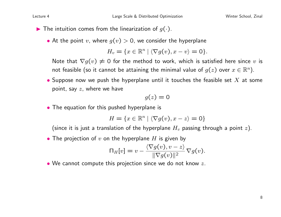- $\blacktriangleright$  The intuition comes from the linearization of  $g(\cdot)$ .
	- At the point v, where  $g(v) > 0$ , we consider the hyperplane

$$
H_v = \{x \in \mathbb{R}^n \mid \langle \nabla g(v), x - v \rangle = 0\}.
$$

Note that  $\nabla g(v) \neq 0$  for the method to work, which is satisfied here since v is not feasible (so it cannot be attaining the minimal value of  $g(z)$  over  $x\in \mathbb{R}^n).$ 

• Suppose now we push the hyperplane until it touches the feasible set  $X$  at some point, say  $z$ , where we have

$$
g(z)=0
$$

• The equation for this pushed hyperplane is

$$
H = \{x \in \mathbb{R}^n \mid \langle \nabla g(v), x - z \rangle = 0\}
$$

(since it is just a translation of the hyperplane  $H_v$  passing through a point z).

• The projection of  $v$  on the hyperplane  $H$  is given by

$$
\mathsf{\Pi}_{H}[v] = v - \frac{\langle \nabla g(v), v - z \rangle}{\|\nabla g(v)\|^2} \nabla g(v).
$$

• We cannot compute this projection since we do not know  $z$ .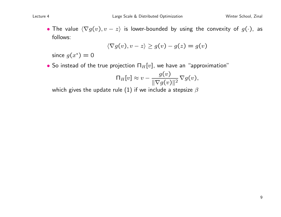• The value  $\langle \nabla g(v), v - z \rangle$  is lower-bounded by using the convexity of  $g(\cdot)$ , as follows:

$$
\langle \nabla g(v), v - z \rangle \ge g(v) - g(z) = g(v)
$$

since  $g(x^*) = 0$ 

• So instead of the true projection  $\Pi_H[v]$ , we have an "approximation"

$$
\Pi_H[v] \approx v - \frac{g(v)}{\|\nabla g(v)\|^2} \nabla g(v),
$$

which gives the update rule (1) if we include a stepsize  $\beta$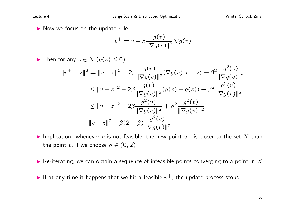$\blacktriangleright$  Now we focus on the update rule

$$
v^{+} = v - \beta \frac{g(v)}{\|\nabla g(v)\|^2} \nabla g(v)
$$

$$
\begin{aligned}\n\blacktriangleright \text{ Then for any } z \in X \ (g(z) \le 0), \\
\|v^+ - z\|^2 &= \|v - z\|^2 - 2\beta \frac{g(v)}{\|\nabla g(v)\|^2} \langle \nabla g(v), v - z \rangle + \beta^2 \frac{g^2(v)}{\|\nabla g(v)\|^2} \\
&\le \|v - z\|^2 - 2\beta \frac{g(v)}{\|\nabla g(v)\|^2} (g(v) - g(z)) + \beta^2 \frac{g^2(v)}{\|\nabla g(v)\|^2} \\
&\le \|v - z\|^2 - 2\beta \frac{g^2(v)}{\|\nabla g(v)\|^2} + \beta^2 \frac{g^2(v)}{\|\nabla g(v)\|^2} \\
\|v - z\|^2 - \beta(2 - \beta) \frac{g^2(v)}{\|\nabla g(v)\|^2}\n\end{aligned}
$$

- Implication: whenever  $v$  is not feasible, the new point  $v^+$  is closer to the set  $X$  than the point v, if we choose  $\beta \in (0, 2)$
- Re-iterating, we can obtain a sequence of infeasible points converging to a point in  $X$
- If at any time it happens that we hit a feasible  $v^+$ , the update process stops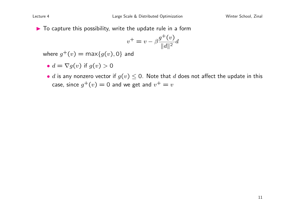$\blacktriangleright$  To capture this possibility, write the update rule in a form

$$
v^{+} = v - \beta \frac{g^{+}(v)}{\|d\|^{2}} d
$$

where  $g^+(v) = \max\{g(v), 0\}$  and

• 
$$
d = \nabla g(v)
$$
 if  $g(v) > 0$ 

• d is any nonzero vector if  $g(v) \leq 0$ . Note that d does not affect the update in this case, since  $g^+(v)=0$  and we get and  $v^+=v$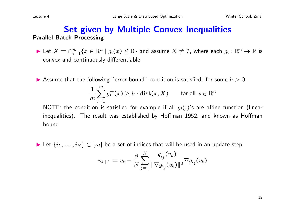#### Set given by Multiple Convex Inequalities Parallel Batch Processing

- ► Let  $X = \cap_{i=1}^m \{x \in \mathbb{R}^n \mid g_i(x) \le 0\}$  and assume  $X \ne \emptyset$ , where each  $g_i : \mathbb{R}^n \to \mathbb{R}$  is convex and continuously differentiable
- Assume that the following "error-bound" condition is satisfied: for some  $h > 0$ ,

$$
\frac{1}{m} \sum_{i=1}^{m} g_i^+(x) \ge h \cdot \text{dist}(x, X) \qquad \text{for all } x \in \mathbb{R}^n
$$

NOTE: the condition is satisfied for example if all  $q_i(\cdot)$ 's are affine function (linear inequalities). The result was established by Hoffman 1952, and known as Hoffman bound

► Let  $\{i_1, \ldots, i_N\}$   $\subset$   $[m]$  be a set of indices that will be used in an update step

$$
v_{k+1} = v_k - \frac{\beta}{N} \sum_{j=1}^{N} \frac{g_{ij}^{+}(v_k)}{\|\nabla g_{i_j}(v_k)\|^2} \nabla g_{i_j}(v_k)
$$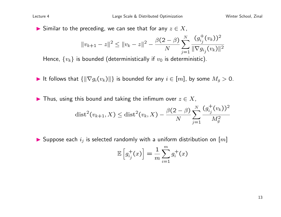Similar to the preceding, we can see that for any  $z \in X$ ,

$$
||v_{k+1} - z||^2 \le ||v_k - z||^2 - \frac{\beta(2-\beta)}{N} \sum_{j=1}^N \frac{(g_{ij}^+(v_k))^2}{||\nabla g_{ij}(v_k)||^2}
$$

Hence,  $\{v_k\}$  is bounded (deterministically if  $v_0$  is deterministic).

It follows that  $\{\|\nabla g_i(v_k)\|\}$  is bounded for any  $i \in [m]$ , by some  $M_g > 0$ .

In Thus, using this bound and taking the infimum over  $z \in X$ ,  $\beta(2-\beta)\sum_{i}^{N}\left(g_{i}^{+}\right)$  $\frac{1}{i_j}(v_k))^2$ 

$$
dist^{2}(v_{k+1}, X) \leq dist^{2}(v_{k}, X) - \frac{\rho(2-\rho)}{N} \sum_{j=1}^{\infty} \frac{(v_{ij} + v_{kj})^2}{M_{g}^{2}}
$$

 $\blacktriangleright$  Suppose each  $i_j$  is selected randomly with a uniform distribution on  $[m]$ 

$$
\mathbb{E}\left[g_{ij}^+(x)\right] = \frac{1}{m} \sum_{i=1}^m g_i^+(x)
$$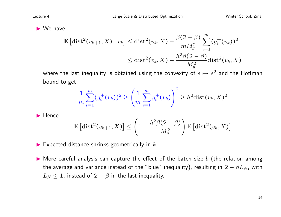$\blacktriangleright$  We have

$$
\mathbb{E} [\text{dist}^2(v_{k+1}, X) \mid v_k] \leq \text{dist}^2(v_k, X) - \frac{\beta(2-\beta)}{mM_g^2} \sum_{i=1}^m (g_i^+(v_k))^2
$$
  

$$
\leq \text{dist}^2(v_k, X) - \frac{h^2 \beta(2-\beta)}{M_g^2} \text{dist}^2(v_k, X)
$$

where the last inequality is obtained using the convexity of  $s\mapsto s^2$  and the Hoffman bound to get

$$
\frac{1}{m}\sum_{i=1}^{m}(g_i^+(v_k))^2\geq \left(\frac{1}{m}\sum_{i=1}^{m}g_i^+(v_k)\right)^2\geq h^2\mathrm{dist}(v_k,X)^2
$$

 $\blacktriangleright$  Hence

$$
\mathbb{E}\left[{\rm dist}^2(v_{k+1},X)\right]\leq \left(1-\frac{h^2\beta(2-\beta)}{M_g^2}\right)\mathbb{E}\left[{\rm dist}^2(v_k,X)\right]
$$

 $\blacktriangleright$  Expected distance shrinks geometrically in  $k$ .

 $\blacktriangleright$  More careful analysis can capture the effect of the batch size b (the relation among the average and variance instead of the "blue" inequality), resulting in  $2 - \beta L_N$ , with  $L_N \leq 1$ , instead of  $2 - \beta$  in the last inequality.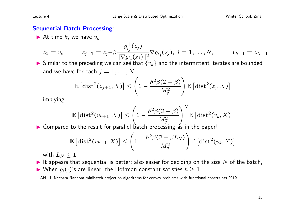#### Sequential Batch Processing:

At time k, we have  $v_k$ 

$$
z_1 = v_k \t z_{j+1} = z_j - \beta \frac{g_{i_j}^+(z_j)}{\|\nabla g_{i_j}(z_j)\|^2} \nabla g_{i_j}(z_j), \ j = 1, ..., N, \t v_{k+1} = z_{N+1}
$$

 $\blacktriangleright$  Similar to the preceding we can see that  $\{v_k\}$  and the intermittent iterates are bounded and we have for each  $j = 1, \ldots, N$ 

$$
\mathbb{E}\left[\mathrm{dist}^2(z_{j+1},X)\right] \leq \left(1 - \frac{h^2\beta(2-\beta)}{M_g^2}\right) \mathbb{E}\left[\mathrm{dist}^2(z_j,X)\right]
$$

implying

$$
\mathbb{E}\left[ \text{dist}^2(v_{k+1},X) \right] \leq \left(1-\frac{h^2 \beta (2-\beta)}{M_g^2} \right)^N \mathbb{E}\left[ \text{dist}^2(v_k,X) \right]
$$

 $\triangleright$  Compared to the result for parallel batch processing as in the paper<sup>†</sup>

$$
\mathbb{E}\left[{\rm dist}^2(v_{k+1},X)\right]\leq \left(1-\frac{h^2\beta(2-\beta L_N)}{M_g^2}\right)\mathbb{E}\left[{\rm dist}^2(v_k,X)\right]
$$

with  $L_N < 1$ 

It appears that sequential is better; also easier for deciding on the size  $N$  of the batch, ▶ When  $g_i(\cdot)$ 's are linear, the Hoffman constant satisfies  $h \geq 1$ .

<sup>†</sup>AN , I. Necoara Random minibatch projection algorithms for convex problems with functional constraints 2019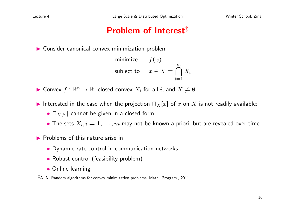# Problem of Interest<sup>‡</sup>

 $\triangleright$  Consider canonical convex minimization problem

minimize 
$$
f(x)
$$
  
subject to  $x \in X = \bigcap_{i=1}^{m} X_i$ 

► Convex  $f : \mathbb{R}^n \to \mathbb{R}$ , closed convex  $X_i$  for all i, and  $X \neq \emptyset$ .

- Interested in the case when the projection  $\Pi_X[x]$  of x on X is not readily available:
	- $\prod_X [x]$  cannot be given in a closed form
	- The sets  $X_i, i = 1, \ldots, m$  may not be known a priori, but are revealed over time
- $\blacktriangleright$  Problems of this nature arise in
	- Dynamic rate control in communication networks
	- Robust control (feasibility problem)
	- Online learning

<sup>‡</sup>A. N. Random algorithms for convex minimization problems, Math. Program., 2011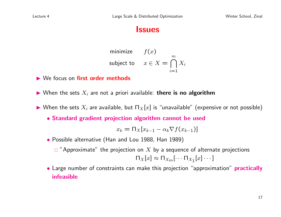#### Issues

minimize 
$$
f(x)
$$
  
subject to  $x \in X = \bigcap_{i=1}^{m} X_i$ 

▶ We focus on first order methods

 $\blacktriangleright$  When the sets  $X_i$  are not a priori available: there is no algorithm

- $\blacktriangleright$  When the sets  $X_i$  are available, but  $\Pi_X[x]$  is "unavailable" (expensive or not possible)
	- Standard gradient projection algorithm cannot be used

$$
x_k = \prod_X [x_{k-1} - \alpha_k \nabla f(x_{k-1})]
$$

• Possible alternative (Han and Lou 1988, Han 1989)

 $\Box$  "Approximate" the projection on X by a sequence of alternate projections

$$
\sqcap_X[x] \approx \sqcap_{X_m}[\cdots \sqcap_{X_1}[x] \cdots]
$$

• Large number of constraints can make this projection "approximation" **practically** infeasible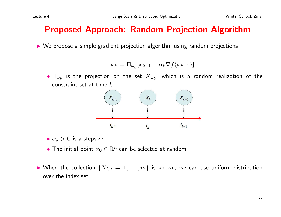## Proposed Approach: Random Projection Algorithm

 $\triangleright$  We propose a simple gradient projection algorithm using random projections

$$
x_k = \Pi_{\omega_k} [x_{k-1} - \alpha_k \nabla f(x_{k-1})]
$$

 $\bullet$   $\Pi_{\omega_k}$  is the projection on the set  $X_{\omega_k}$ , which is a random realization of the constraint set at time  $k$ 



- $\alpha_k > 0$  is a stepsize
- The initial point  $x_0 \in \mathbb{R}^n$  can be selected at random
- $\blacktriangleright$  When the collection  $\{X_i, i=1,\ldots,m\}$  is known, we can use uniform distribution over the index set.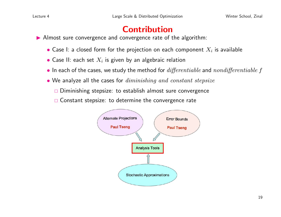# Contribution

Almost sure convergence and convergence rate of the algorithm:

- $\bullet$  Case I: a closed form for the projection on each component  $X_i$  is available
- $\bullet$  Case II: each set  $X_i$  is given by an algebraic relation
- In each of the cases, we study the method for  $\mathit{differentiable}$  and  $\mathit{nondifferentiable}$  f
- We analyze all the cases for *diminishing and constant stepsize* 
	- □ Diminishing stepsize: to establish almost sure convergence
	- $\Box$  Constant stepsize: to determine the convergence rate

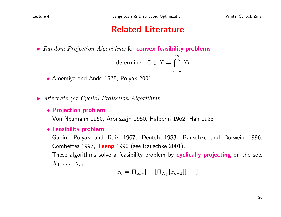## Related Literature

 $\blacktriangleright$  Random Projection Algorithms for **convex feasibility problems** 

determine 
$$
\bar{x} \in X = \bigcap_{i=1}^{m} X_i
$$

• Amemiya and Ando 1965, Polyak 2001

 $\blacktriangleright$  Alternate (or Cyclic) Projection Algorithms

#### • Projection problem

Von Neumann 1950, Aronszajn 1950, Halperin 1962, Han 1988

• Feasibility problem

Gubin, Polyak and Raik 1967, Deutch 1983, Bauschke and Borwein 1996, Combettes 1997, Tseng 1990 (see Bauschke 2001).

These algorithms solve a feasibility problem by cyclically projecting on the sets  $X_1, \ldots, X_m$ 

$$
x_k = \Pi_{X_m}[\cdots[\Pi_{X_1}[x_{k-1}]]\cdots]
$$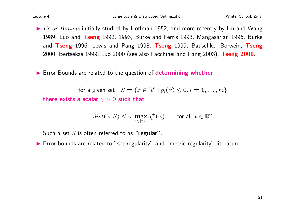$\triangleright$  *Error Bounds* initially studied by Hoffman 1952, and more recently by Hu and Wang 1989, Luo and Tseng 1992, 1993, Burke and Ferris 1993, Mangasarian 1996, Burke and Tseng 1996, Lewis and Pang 1998, Tseng 1999, Bauschke, Borwein, Tseng 2000, Bertsekas 1999, Luo 2000 (see also Facchinei and Pang 2003), Tseng 2009.

 $\blacktriangleright$  Error Bounds are related to the question of determining whether

for a given set  $S = \{x \in \mathbb{R}^n \mid g_i(x) \leq 0, i = 1, \ldots, m\}$ there exists a scalar  $\gamma > 0$  such that

$$
dist(x, S) \le \gamma \max_{i \in [m]} g_i^+(x) \quad \text{for all } x \in \mathbb{R}^n
$$

Such a set  $S$  is often referred to as "regular".

▶ Error-bounds are related to "set regularity" and "metric regularity" literature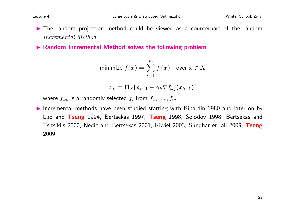- The random projection method could be viewed as a counterpart of the random Incremental Method.
- $\triangleright$  Random Incremental Method solves the following problem

minimize 
$$
f(x) = \sum_{i=1}^{m} f_i(x)
$$
 over  $x \in X$ 

$$
x_k = \Pi_X [x_{k-1} - \alpha_k \nabla f_{\omega_k}(x_{k-1})]
$$

where  $f_{\omega_{\bm{k}}}$  is a randomly selected  $f_i$  from  $f_1,\ldots,f_m$ 

Incremental methods have been studied starting with Kibardin 1980 and later on by Luo and Tseng 1994, Bertsekas 1997, Tseng 1998, Solodov 1998, Bertsekas and Tsitsiklis 2000, Nedić and Bertsekas 2001, Kiwiel 2003, Sundhar et. all 2009, Tseng 2009.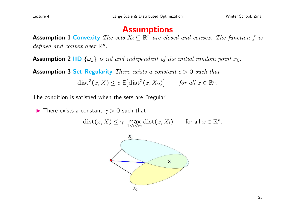#### **Assumptions**

**Assumption 1 Convexity** The sets  $X_i \subseteq \mathbb{R}^n$  are closed and convex. The function f is defined and convex over  $\mathbb{R}^n$ .

**Assumption 2 IID**  $\{\omega_k\}$  is iid and independent of the initial random point  $x_0$ .

**Assumption 3 Set Regularity** There exists a constant  $c > 0$  such that

$$
\text{dist}^2(x, X) \le c \, \mathsf{E} \big[ \text{dist}^2(x, X_\omega) \big] \qquad \text{for all } x \in \mathbb{R}^n.
$$

The condition is satisfied when the sets are "regular"

**In** There exists a constant  $\gamma > 0$  such that

 $dist(x, X) \leq \gamma$  max  $1\leq i\leq m$  $dist(x, X_i)$  for all  $x \in \mathbb{R}^n$ .

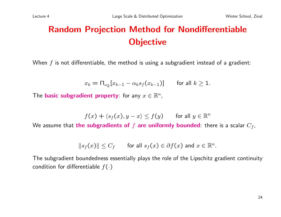# Random Projection Method for Nondifferentiable **Objective**

When  $f$  is not differentiable, the method is using a subgradient instead of a gradient:

$$
x_k = \Pi_{\omega_k} [x_{k-1} - \alpha_k s_f(x_{k-1})] \quad \text{for all } k \ge 1.
$$

The **basic subgradient property** for any  $x \in \mathbb{R}^n$ ,

$$
f(x) + \langle s_f(x), y - x \rangle \le f(y) \quad \text{for all } y \in \mathbb{R}^n
$$

We assume that the subgradients of f are uniformly bounded: there is a scalar  $C_f$ ,

$$
||s_f(x)|| \leq C_f \qquad \text{for all } s_f(x) \in \partial f(x) \text{ and } x \in \mathbb{R}^n.
$$

The subgradient boundedness essentially plays the role of the Lipschitz gradient continuity condition for differentiable  $f(\cdot)$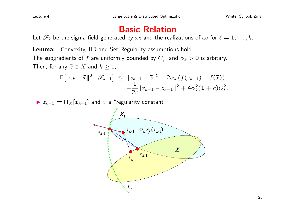## Basic Relation

Let  $\mathscr{F}_k$  be the sigma-field generated by  $x_0$  and the realizations of  $\omega_\ell$  for  $\ell = 1, \ldots, k$ .

Lemma: Convexity, IID and Set Regularity assumptions hold. The subgradients of f are uniformly bounded by  $C_f$ , and  $\alpha_k > 0$  is arbitary.

Then, for any  $\bar{x} \in X$  and  $k \geq 1$ ,

$$
\mathsf{E}\!\left[\|x_k - \bar{x}\|^2 \mid \mathscr{F}_{k-1}\right] \leq \|x_{k-1} - \bar{x}\|^2 - 2\alpha_k \left(f(z_{k-1}) - f(\bar{x})\right) \n- \frac{1}{2c} \|x_{k-1} - z_{k-1}\|^2 + 4\alpha_k^2 (1+c) C_f^2,
$$

 $\triangleright z_{k-1} = \prod_{X} [x_{k-1}]$  and c is "regularity constant"

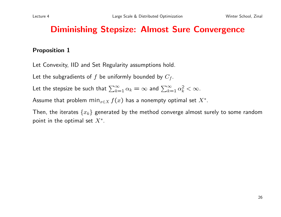## Diminishing Stepsize: Almost Sure Convergence

#### Proposition 1

Let Convexity, IID and Set Regularity assumptions hold.

Let the subgradients of  $f$  be uniformly bounded by  $C_f$ .

Let the stepsize be such that  $\sum_{k=1}^{\infty} \alpha_k = \infty$  and  $\sum_{k=1}^{\infty} \alpha_k^2 < \infty$ .

Assume that problem  $\min_{x \in X} f(x)$  has a nonempty optimal set  $X^*.$ 

Then, the iterates  $\{x_k\}$  generated by the method converge almost surely to some random point in the optimal set  $X^*$ .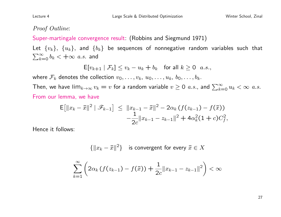#### Proof Outline:

Super-martingale convergence result: (Robbins and Siegmund 1971)

Let  $\{v_k\}$ ,  $\{u_k\}$ , and  $\{b_k\}$  be sequences of nonnegative random variables such that  $\sum_{k=0}^{\infty} b_k < +\infty$  a.s. and

$$
\mathsf{E}[v_{k+1} | \mathcal{F}_k] \le v_k - u_k + b_k \quad \text{for all } k \ge 0 \ \ a.s.,
$$

where  $\mathcal{F}_k$  denotes the collection  $v_0, \ldots, v_k, u_0, \ldots, u_k, b_0, \ldots, b_k$ .

Then, we have  $\lim_{k\to\infty}v_k=v$  for a random variable  $v\geq 0$  a.s., and  $\sum_{k=0}^\infty u_k<\infty$  a.s. From our lemma, we have

$$
\mathsf{E}\!\left[\|x_k - \bar{x}\|^2 \mid \mathscr{F}_{k-1}\right] \leq \|x_{k-1} - \bar{x}\|^2 - 2\alpha_k \left(f(z_{k-1}) - f(\bar{x})\right) \n- \frac{1}{2c} \|x_{k-1} - z_{k-1}\|^2 + 4\alpha_k^2 (1+c) C_f^2,
$$

Hence it follows:

 ${{\|x_k - \bar{x}\|^2\}}$  is convergent for every  $\bar{x} \in X$ 

$$
\sum_{k=1}^{\infty} \left( 2\alpha_k \left( f(z_{k-1}) - f(\bar{x}) \right) + \frac{1}{2c} \|x_{k-1} - z_{k-1}\|^2 \right) < \infty
$$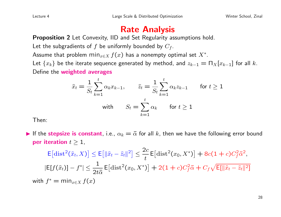## Rate Analysis

Proposition 2 Let Convexity, IID and Set Regularity assumptions hold.

Let the subgradients of  $f$  be uniformly bounded by  $C_f$ .

Assume that problem  $\min_{x \in X} f(x)$  has a nonempty optimal set  $X^*.$ 

Let  $\{x_k\}$  be the iterate sequence generated by method, and  $z_{k-1} = \prod_X [x_{k-1}]$  for all k. Define the weighted averages

$$
\hat{x}_t = \frac{1}{S_t} \sum_{k=1}^t \alpha_k x_{k-1}, \qquad \hat{z}_t = \frac{1}{S_t} \sum_{k=1}^t \alpha_k z_{k-1} \qquad \text{for } t \ge 1
$$
  
with 
$$
S_t = \sum_{k=1}^t \alpha_k \qquad \text{for } t \ge 1
$$

Then:

If the **stepsize is constant**, i.e.,  $\alpha_k = \bar{\alpha}$  for all k, then we have the following error bound per iteration  $t \geq 1$ ,

$$
\mathsf{E}\big[\text{dist}^2(\hat{x}_t, X)\big] \le \mathsf{E}\big[\|\hat{x}_t - \hat{z}_t\|^2\big] \le \frac{2c}{t} \mathsf{E}\big[\text{dist}^2(x_0, X^*)\big] + 8c(1+c)C_f^2 \bar{\alpha}^2,
$$
\n
$$
|\mathsf{E}[f(\hat{x}_t)] - f^*| \le \frac{1}{2t\bar{\alpha}} \mathsf{E}\big[\text{dist}^2(x_0, X^*)\big] + 2(1+c)C_f^2 \bar{\alpha} + C_f \sqrt{\mathsf{E}[\|\hat{x}_t - \hat{z}_t\|^2]}
$$
\nwith  $f^* = \min_{x \in X} f(x)$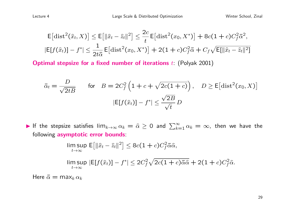$$
\mathsf{E}\big[\text{dist}^2(\hat{x}_t, X)\big] \le \mathsf{E}\big[\|\hat{x}_t - \hat{z}_t\|^2\big] \le \frac{2c}{t} \mathsf{E}\big[\text{dist}^2(x_0, X^*)\big] + 8c(1+c)C_f^2 \bar{\alpha}^2,
$$
\n
$$
|\mathsf{E}[f(\hat{x}_t)] - f^*| \le \frac{1}{2t\bar{\alpha}} \mathsf{E}\big[\text{dist}^2(x_0, X^*)\big] + 2(1+c)C_f^2 \bar{\alpha} + C_f \sqrt{\mathsf{E}[\|\hat{x}_t - \hat{z}_t\|^2]}
$$

**Optimal stepsize for a fixed number of iterations**  $t$ : (Polyak 2001)

$$
\bar{\alpha}_t = \frac{D}{\sqrt{2tB}} \qquad \text{for} \quad B = 2C_f^2 \left( 1 + c + \sqrt{2c(1+c)} \right), \quad D \ge \mathsf{E} \left[ \text{dist}^2(x_0, X) \right]
$$

$$
|\mathsf{E}[f(\hat{x}_t)] - f^*| \le \frac{\sqrt{2B}}{\sqrt{t}} D
$$

► If the stepsize satisfies  $\lim_{k\to\infty}\alpha_k=\widehat{\alpha}\geq 0$  and  $\sum_{k=1}^\infty\alpha_k=\infty$ , then we have the following **asymptotic error bounds**:

$$
\limsup_{t \to \infty} \mathsf{E} \big[ \| \hat{x}_t - \hat{z}_t \|^2 \big] \le 8c(1+c)C_f^2 \bar{\alpha} \hat{\alpha},
$$
\n
$$
\limsup_{t \to \infty} |\mathsf{E}[f(\hat{x}_t)] - f^*| \le 2C_f^2 \sqrt{2c(1+c)\bar{\alpha} \hat{\alpha}} + 2(1+c)C_f^2 \hat{\alpha}.
$$

Here  $\bar{\alpha} = \max_k \alpha_k$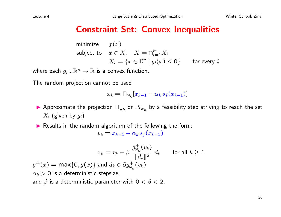### Constraint Set: Convex Inequalities

minimize 
$$
f(x)
$$
  
subject to  $x \in X$ ,  $X = \bigcap_{i=1}^{m} X_i$   
 $X_i = \{x \in \mathbb{R}^n \mid g_i(x) \le 0\}$  for every  $i$ 

where each  $g_i : \mathbb{R}^n \to \mathbb{R}$  is a convex function.

The random projection cannot be used

$$
x_k = \Pi_{\omega_k} [x_{k-1} - \alpha_k s_f(x_{k-1})]
$$

- $\blacktriangleright$  Approximate the projection  $\Pi_{\omega_k}$  on  $X_{\omega_k}$  by a feasibility step striving to reach the set  $X_i$  (given by  $g_i$ )
- $\blacktriangleright$  Results in the random algorithm of the following the form:

$$
v_k = x_{k-1} - \alpha_k s_f(x_{k-1})
$$

$$
x_k = v_k - \beta \frac{g_{\omega_k}^+(v_k)}{\|d_k\|^2} d_k \qquad \text{for all } k \ge 1
$$
  

$$
g^+(x) = \max\{0, g(x)\} \text{ and } d_k \in \partial g_{\omega_k}^+(v_k)
$$
  

$$
\alpha_k > 0 \text{ is a deterministic stepsize},
$$
  
and  $\beta$  is a deterministic parameter with  $0 < \beta < 2$ .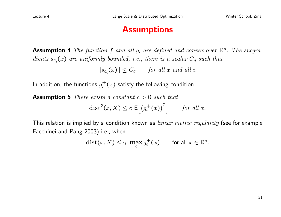#### **Assumptions**

**Assumption 4** The function f and all  $g_i$  are defined and convex over  $\mathbb{R}^n$ . The subgradients  $s_{g_i}(x)$  are uniformly bounded, i.e., there is a scalar  $C_g$  such that

 $||s_{g_i}(x)|| \leq C_g$  for all x and all i.

In addition, the functions  $g_i^+$  $i^+(x)$  satisfy the following condition.

**Assumption 5** There exists a constant  $c > 0$  such that

$$
\text{dist}^2(x, X) \le c \, \mathsf{E}\Big[\big(g^+_{\omega}(x)\big)^2\Big] \qquad \text{for all } x.
$$

This relation is implied by a condition known as *linear metric regularity* (see for example Facchinei and Pang 2003) i.e., when

$$
\text{dist}(x, X) \leq \gamma \ \max_{i} g_i^+(x) \qquad \text{for all } x \in \mathbb{R}^n.
$$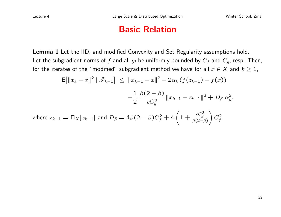#### Basic Relation

Lemma 1 Let the IID, and modified Convexity and Set Regularity assumptions hold. Let the subgradient norms of  $f$  and all  $g_i$  be uniformly bounded by  $C_f$  and  $C_g$ , resp. Then, for the iterates of the "modified" subgradient method we have for all  $\bar{x} \in X$  and  $k \geq 1$ ,

$$
\mathsf{E}\big[\|x_k - \bar{x}\|^2 \mid \mathscr{F}_{k-1}\big] \le \|x_{k-1} - \bar{x}\|^2 - 2\alpha_k \left(f(z_{k-1}) - f(\bar{x})\right)
$$

$$
-\frac{1}{2} \frac{\beta(2-\beta)}{cC_g^2} \|x_{k-1} - z_{k-1}\|^2 + D_\beta \alpha_k^2,
$$
  
where  $z_{k-1} = \Pi_X[x_{k-1}]$  and  $D_\beta = 4\beta(2-\beta)C_f^2 + 4\left(1 + \frac{cC_g^2}{\beta(2-\beta)}\right)C_f^2.$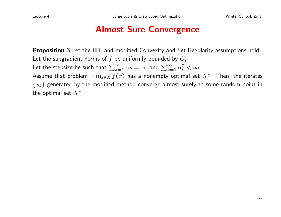### Almost Sure Convergence

Proposition 3 Let the IID, and modified Convexity and Set Regularity assumptions hold. Let the subgradient norms of  $f$  be uniformly bounded by  $C_f$ . Let the stepsize be such that  $\sum_{k=1}^{\infty} \alpha_k = \infty$  and  $\sum_{k=1}^{\infty} \alpha_k^2 < \infty$ . Assume that problem  $\min_{x \in X} f(x)$  has a nonempty optimal set  $X^*.$  Then, the iterates  ${x_k}$  generated by the modified method converge almost surely to some random point in the optimal set  $X^*$ .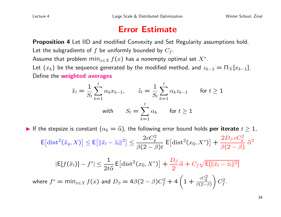#### Error Estimate

Proposition 4 Let IID and modified Convexity and Set Regularity assumptions hold.

Let the subgradients of  $f$  be uniformly bounded by  $C_f$ .

Assume that problem  $\min_{x \in X} f(x)$  has a nonempty optimal set  $X^*.$ 

Let  $\{x_k\}$  be the sequence generated by the modified method, and  $z_{k-1} = \prod_X [x_{k-1}]$ . Define the weighted averages

$$
\hat{x}_t = \frac{1}{S_t} \sum_{k=1}^t \alpha_k x_{k-1}, \qquad \hat{z}_t = \frac{1}{S_t} \sum_{k=1}^t \alpha_k z_{k-1} \qquad \text{for } t \ge 1
$$
  
with 
$$
S_t = \sum_{k=1}^t \alpha_k \qquad \text{for } t \ge 1
$$

If the stepsize is constant  $(\alpha_k = \bar{\alpha})$ , the following error bound holds **per iterate**  $t \geq 1$ ,  $\mathsf{E}\left[\mathrm{dist}^2(\hat{x}_y,X)\right] \leq \mathsf{E}\left[\|\hat{x}_t - \hat{z}_t\|^2\right] \leq$  $2cC_g^2$  $\beta(2-\beta)t$  $E[dist^2(x_0, X^*)] +$  $2 D_\beta \, c C_g^2$  $\beta(2 - \beta)$  $\bar{\alpha}^2$  $|E[f(\hat{x}_t)] - f^*| \leq \frac{1}{24}$  $2t\bar{\alpha}$  $E[dist^2(x_0, X^*)] +$  $D_\beta$ 2  $\bar{\alpha}+C_{f}\sqrt{\mathsf{E}[\|\widehat{x}_{t}-\widehat{z}_{t}\|^{2}]}$ where  $f^* = \min_{x \in X} f(x)$  and  $D_\beta = 4\beta(2-\beta)C_f^2 + 4\left(1 + \frac{cC_g^2}{\beta(2-\beta)}\right)$  $\beta$ (2− $\beta$ )  $\setminus$  $C_f^2$ .